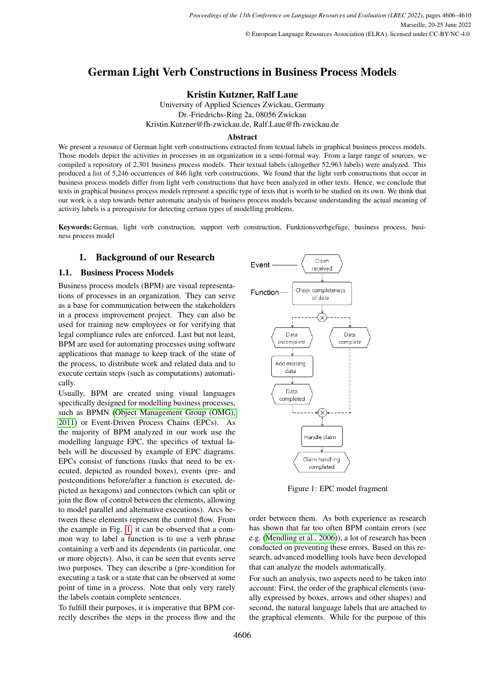# German Light Verb Constructions in Business Process Models

Kristin Kutzner, Ralf Laue

University of Applied Sciences Zwickau, Germany Dr.-Friedrichs-Ring 2a, 08056 Zwickau Kristin.Kutzner@fh-zwickau.de, Ralf.Laue@fh-zwickau.de

#### **Abstract**

We present a resource of German light verb constructions extracted from textual labels in graphical business process models. Those models depict the activities in processes in an organization in a semi-formal way. From a large range of sources, we compiled a repository of 2,301 business process models. Their textual labels (altogether 52,963 labels) were analyzed. This produced a list of 5,246 occurrences of 846 light verb constructions. We found that the light verb constructions that occur in business process models differ from light verb constructions that have been analyzed in other texts. Hence, we conclude that texts in graphical business process models represent a specific type of texts that is worth to be studied on its own. We think that our work is a step towards better automatic analysis of business process models because understanding the actual meaning of activity labels is a prerequisite for detecting certain types of modelling problems.

Keywords: German, light verb construction, support verb construction, Funktionsverbgefüge, business process, business process model

## 1. Background of our Research

## 1.1. Business Process Models

Business process models (BPM) are visual representations of processes in an organization. They can serve as a base for communication between the stakeholders in a process improvement project. They can also be used for training new employees or for verifying that legal compliance rules are enforced. Last but not least, BPM are used for automating processes using software applications that manage to keep track of the state of the process, to distribute work and related data and to execute certain steps (such as computations) automatically.

Usually, BPM are created using visual languages specifically designed for modelling business processes, such as BPMN [\(Object Management Group \(OMG\),](#page-4-0) [2011\)](#page-4-0) or Event-Driven Process Chains (EPCs). As the majority of BPM analyzed in our work use the modelling language EPC, the specifics of textual labels will be discussed by example of EPC diagrams. EPCs consist of functions (tasks that need to be executed, depicted as rounded boxes), events (pre- and postconditions before/after a function is executed, depicted as hexagons) and connectors (which can split or join the flow of control between the elements, allowing to model parallel and alternative executions). Arcs between these elements represent the control flow. From the example in Fig. [1,](#page-0-0) it can be observed that a common way to label a function is to use a verb phrase containing a verb and its dependents (in particular, one or more objects). Also, it can be seen that events serve two purposes. They can describe a (pre-)condition for executing a task or a state that can be observed at some point of time in a process. Note that only very rarely the labels contain complete sentences.

To fulfill their purposes, it is imperative that BPM correctly describes the steps in the process flow and the



<span id="page-0-0"></span>Figure 1: EPC model fragment

order between them. As both experience as research has shown that far too often BPM contain errors (see e.g. [\(Mendling et al., 2006\)](#page-4-1)), a lot of research has been conducted on preventing these errors. Based on this research, advanced modelling tools have been developed that can analyze the models automatically.

For such an analysis, two aspects need to be taken into account: First, the order of the graphical elements (usually expressed by boxes, arrows and other shapes) and second, the natural language labels that are attached to the graphical elements. While for the purpose of this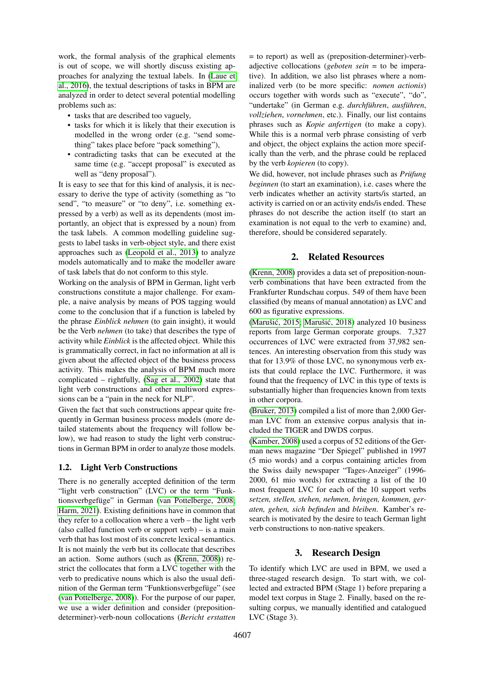work, the formal analysis of the graphical elements is out of scope, we will shortly discuss existing approaches for analyzing the textual labels. In [\(Laue et](#page-4-2) [al., 2016\)](#page-4-2), the textual descriptions of tasks in BPM are analyzed in order to detect several potential modelling problems such as:

- tasks that are described too vaguely,
- tasks for which it is likely that their execution is modelled in the wrong order (e.g. "send something" takes place before "pack something"),
- contradicting tasks that can be executed at the same time (e.g. "accept proposal" is executed as well as "deny proposal").

It is easy to see that for this kind of analysis, it is necessary to derive the type of activity (something as "to send", "to measure" or "to deny", i.e. something expressed by a verb) as well as its dependents (most importantly, an object that is expressed by a noun) from the task labels. A common modelling guideline suggests to label tasks in verb-object style, and there exist approaches such as [\(Leopold et al., 2013\)](#page-4-3) to analyze models automatically and to make the modeller aware of task labels that do not conform to this style.

Working on the analysis of BPM in German, light verb constructions constitute a major challenge. For example, a naive analysis by means of POS tagging would come to the conclusion that if a function is labeled by the phrase *Einblick nehmen* (to gain insight), it would be the Verb *nehmen* (to take) that describes the type of activity while *Einblick* is the affected object. While this is grammatically correct, in fact no information at all is given about the affected object of the business process activity. This makes the analysis of BPM much more complicated – rightfully, [\(Sag et al., 2002\)](#page-4-4) state that light verb constructions and other multiword expressions can be a "pain in the neck for NLP".

Given the fact that such constructions appear quite frequently in German business process models (more detailed statements about the frequency will follow below), we had reason to study the light verb constructions in German BPM in order to analyze those models.

#### 1.2. Light Verb Constructions

There is no generally accepted definition of the term "light verb construction" (LVC) or the term "Funk-tionsverbgefüge" in German [\(van Pottelberge, 2008;](#page-4-5) [Harm, 2021\)](#page-4-6). Existing definitions have in common that they refer to a collocation where a verb – the light verb (also called function verb or support verb)  $-$  is a main verb that has lost most of its concrete lexical semantics. It is not mainly the verb but its collocate that describes an action. Some authors (such as [\(Krenn, 2008\)](#page-4-7)) restrict the collocates that form a LVC together with the verb to predicative nouns which is also the usual definition of the German term "Funktionsverbgefüge" (see [\(van Pottelberge, 2008\)](#page-4-5)). For the purpose of our paper, we use a wider definition and consider (prepositiondeterminer)-verb-noun collocations (*Bericht erstatten*

= to report) as well as (preposition-determiner)-verbadjective collocations (*geboten sein* = to be imperative). In addition, we also list phrases where a nominalized verb (to be more specific: *nomen actionis*) occurs together with words such as "execute", "do", "undertake" (in German e.g. *durchführen*, *ausführen*, *vollziehen*, *vornehmen*, etc.). Finally, our list contains phrases such as *Kopie anfertigen* (to make a copy). While this is a normal verb phrase consisting of verb and object, the object explains the action more specifically than the verb, and the phrase could be replaced by the verb *kopieren* (to copy).

We did, however, not include phrases such as *Prüfung beginnen* (to start an examination), i.e. cases where the verb indicates whether an activity starts/is started, an activity is carried on or an activity ends/is ended. These phrases do not describe the action itself (to start an examination is not equal to the verb to examine) and, therefore, should be considered separately.

## 2. Related Resources

[\(Krenn, 2008\)](#page-4-7) provides a data set of preposition-nounverb combinations that have been extracted from the Frankfurter Rundschau corpus. 549 of them have been classified (by means of manual annotation) as LVC and 600 as figurative expressions.

(Marušić, 2015; Marušić, 2018) analyzed  $10$  business reports from large German corporate groups. 7,327 occurrences of LVC were extracted from 37,982 sentences. An interesting observation from this study was that for 13.9% of those LVC, no synonymous verb exists that could replace the LVC. Furthermore, it was found that the frequency of LVC in this type of texts is substantially higher than frequencies known from texts in other corpora.

[\(Bruker, 2013\)](#page-4-10) compiled a list of more than 2,000 German LVC from an extensive corpus analysis that included the TIGER and DWDS corpus.

[\(Kamber, 2008\)](#page-4-11) used a corpus of 52 editions of the German news magazine "Der Spiegel" published in 1997 (5 mio words) and a corpus containing articles from the Swiss daily newspaper "Tages-Anzeiger" (1996- 2000, 61 mio words) for extracting a list of the 10 most frequent LVC for each of the 10 support verbs *setzen, stellen, stehen, nehmen, bringen, kommen, geraten, gehen, sich befinden* and *bleiben*. Kamber's research is motivated by the desire to teach German light verb constructions to non-native speakers.

## 3. Research Design

To identify which LVC are used in BPM, we used a three-staged research design. To start with, we collected and extracted BPM (Stage 1) before preparing a model text corpus in Stage 2. Finally, based on the resulting corpus, we manually identified and catalogued LVC (Stage 3).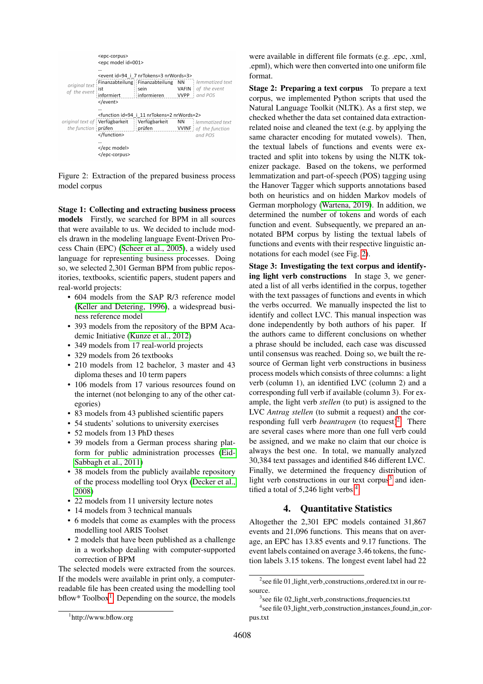|                               | <epc-corpus><br/><epc id="001" model=""></epc></epc-corpus> |                                                                                                                                                                    |             |                                           |
|-------------------------------|-------------------------------------------------------------|--------------------------------------------------------------------------------------------------------------------------------------------------------------------|-------------|-------------------------------------------|
| original text<br>of the event | <br>i ist<br>informiert<br>                                 | <event 7="" i="" id="94" nrtokens="3" nrwords="3"><br/>Finanzabteilung Finanzabteilung NN   lemmatized text<br/>i sein<br/><math>\vdots</math> informieren</event> | <b>VVPP</b> | <b>VAFIN</b> of the event<br>and POS      |
| the function prüfen           | <br><br>                                                    | <function 11="" i="" id="94" nrtokens="2" nrwords="2"><br/>original text of <b>Verfügbarkeit Verfügbarkeit</b> NN <i>lemmatized text</i><br/>prüfen</function>     |             | <b>VVINF</b> : of the function<br>and POS |

<span id="page-2-1"></span>Figure 2: Extraction of the prepared business process model corpus

Stage 1: Collecting and extracting business process models Firstly, we searched for BPM in all sources that were available to us. We decided to include models drawn in the modeling language Event-Driven Process Chain (EPC) [\(Scheer et al., 2005\)](#page-4-12), a widely used language for representing business processes. Doing so, we selected 2,301 German BPM from public repositories, textbooks, scientific papers, student papers and real-world projects:

- 604 models from the SAP R/3 reference model [\(Keller and Detering, 1996\)](#page-4-13), a widespread business reference model
- 393 models from the repository of the BPM Academic Initiative [\(Kunze et al., 2012\)](#page-4-14)
- 349 models from 17 real-world projects
- 329 models from 26 textbooks
- 210 models from 12 bachelor, 3 master and 43 diploma theses and 10 term papers
- 106 models from 17 various resources found on the internet (not belonging to any of the other categories)
- 83 models from 43 published scientific papers
- 54 students' solutions to university exercises
- 52 models from 13 PhD theses
- 39 models from a German process sharing platform for public administration processes [\(Eid-](#page-4-15)[Sabbagh et al., 2011\)](#page-4-15)
- 38 models from the publicly available repository of the process modelling tool Oryx [\(Decker et al.,](#page-4-16) [2008\)](#page-4-16)
- 22 models from 11 university lecture notes
- 14 models from 3 technical manuals
- 6 models that come as examples with the process modelling tool ARIS Toolset
- 2 models that have been published as a challenge in a workshop dealing with computer-supported correction of BPM

The selected models were extracted from the sources. If the models were available in print only, a computerreadable file has been created using the modelling tool bflow\* Toolbox<sup>[1](#page-2-0)</sup>. Depending on the source, the models

were available in different file formats (e.g. .epc, .xml, .epml), which were then converted into one uniform file format.

Stage 2: Preparing a text corpus To prepare a text corpus, we implemented Python scripts that used the Natural Language Toolkit (NLTK). As a first step, we checked whether the data set contained data extractionrelated noise and cleaned the text (e.g. by applying the same character encoding for mutated vowels). Then, the textual labels of functions and events were extracted and split into tokens by using the NLTK tokenizer package. Based on the tokens, we performed lemmatization and part-of-speech (POS) tagging using the Hanover Tagger which supports annotations based both on heuristics and on hidden Markov models of German morphology [\(Wartena, 2019\)](#page-4-17). In addition, we determined the number of tokens and words of each function and event. Subsequently, we prepared an annotated BPM corpus by listing the textual labels of functions and events with their respective linguistic annotations for each model (see Fig. [2\)](#page-2-1).

Stage 3: Investigating the text corpus and identifying light verb constructions In stage 3, we generated a list of all verbs identified in the corpus, together with the text passages of functions and events in which the verbs occurred. We manually inspected the list to identify and collect LVC. This manual inspection was done independently by both authors of his paper. If the authors came to different conclusions on whether a phrase should be included, each case was discussed until consensus was reached. Doing so, we built the resource of German light verb constructions in business process models which consists of three columns: a light verb (column 1), an identified LVC (column 2) and a corresponding full verb if available (column 3). For example, the light verb *stellen* (to put) is assigned to the LVC *Antrag stellen* (to submit a request) and the corresponding full verb *beantragen* (to request)<sup>[2](#page-2-2)</sup>. There are several cases where more than one full verb could be assigned, and we make no claim that our choice is always the best one. In total, we manually analyzed 30,384 text passages and identified 846 different LVC. Finally, we determined the frequency distribution of light verb constructions in our text corpus<sup>[3](#page-2-3)</sup> and identified a total of  $5,246$  $5,246$  $5,246$  light verbs  $4$ .

## 4. Quantitative Statistics

Altogether the 2,301 EPC models contained 31,867 events and 21,096 functions. This means that on average, an EPC has 13.85 events and 9.17 functions. The event labels contained on average 3.46 tokens, the function labels 3.15 tokens. The longest event label had 22

<span id="page-2-0"></span><sup>1</sup> http://www.bflow.org

<span id="page-2-2"></span><sup>&</sup>lt;sup>2</sup> see file 01\_light\_verb\_constructions\_ordered.txt in our resource.

<span id="page-2-4"></span><span id="page-2-3"></span><sup>&</sup>lt;sup>3</sup> see file 02\_light\_verb\_constructions\_frequencies.txt

<sup>4</sup> see file 03 light verb construction instances found in corpus.txt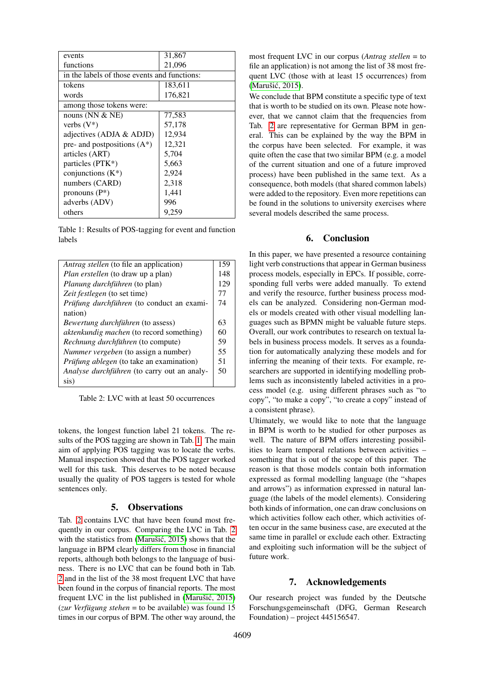| events                                       | 31,867  |  |  |  |
|----------------------------------------------|---------|--|--|--|
| functions                                    | 21,096  |  |  |  |
| in the labels of those events and functions: |         |  |  |  |
| tokens                                       | 183,611 |  |  |  |
| words                                        | 176,821 |  |  |  |
| among those tokens were:                     |         |  |  |  |
| nouns ( $NN & NE$ )                          | 77,583  |  |  |  |
| verbs $(V^*)$                                | 57,178  |  |  |  |
| adjectives (ADJA & ADJD)                     | 12,934  |  |  |  |
| pre- and postpositions $(A^*)$               | 12,321  |  |  |  |
| articles (ART)                               | 5,704   |  |  |  |
| particles (PTK*)                             | 5,663   |  |  |  |
| conjunctions $(K^*)$                         | 2,924   |  |  |  |
| numbers (CARD)                               | 2,318   |  |  |  |
| pronouns $(P^*)$                             | 1,441   |  |  |  |
| adverbs (ADV)                                | 996     |  |  |  |
| others                                       | 9,259   |  |  |  |

<span id="page-3-0"></span>Table 1: Results of POS-tagging for event and function labels

| <i>Antrag stellen</i> (to file an application) | 159 |  |
|------------------------------------------------|-----|--|
| <i>Plan erstellen</i> (to draw up a plan)      |     |  |
| Planung durchführen (to plan)                  |     |  |
| Zeit festlegen (to set time)                   | 77  |  |
| Prüfung durchführen (to conduct an exami-      | 74  |  |
| nation)                                        |     |  |
| <i>Bewertung durchführen</i> (to assess)       |     |  |
| aktenkundig machen (to record something)       |     |  |
| Rechnung durchführen (to compute)              | 59  |  |
| Nummer vergeben (to assign a number)           | 55  |  |
| Prüfung ablegen (to take an examination)       | 51  |  |
| Analyse durchführen (to carry out an analy-    | 50  |  |
| sis)                                           |     |  |

<span id="page-3-1"></span>Table 2: LVC with at least 50 occurrences

tokens, the longest function label 21 tokens. The results of the POS tagging are shown in Tab. [1.](#page-3-0) The main aim of applying POS tagging was to locate the verbs. Manual inspection showed that the POS tagger worked well for this task. This deserves to be noted because usually the quality of POS taggers is tested for whole sentences only.

#### 5. Observations

Tab. [2](#page-3-1) contains LVC that have been found most frequently in our corpus. Comparing the LVC in Tab. [2](#page-3-1) with the statistics from (Marušić, 2015) shows that the language in BPM clearly differs from those in financial reports, although both belongs to the language of business. There is no LVC that can be found both in Tab. [2](#page-3-1) and in the list of the 38 most frequent LVC that have been found in the corpus of financial reports. The most frequent LVC in the list published in (Marušić, 2015)  $(zur Verfügung stehen = to be available) was found 15$ times in our corpus of BPM. The other way around, the

most frequent LVC in our corpus (*Antrag stellen* = to file an application) is not among the list of 38 most frequent LVC (those with at least 15 occurrences) from (Marušić, 2015).

We conclude that BPM constitute a specific type of text that is worth to be studied on its own. Please note however, that we cannot claim that the frequencies from Tab. [2](#page-3-1) are representative for German BPM in general. This can be explained by the way the BPM in the corpus have been selected. For example, it was quite often the case that two similar BPM (e.g. a model of the current situation and one of a future improved process) have been published in the same text. As a consequence, both models (that shared common labels) were added to the repository. Even more repetitions can be found in the solutions to university exercises where several models described the same process.

#### 6. Conclusion

In this paper, we have presented a resource containing light verb constructions that appear in German business process models, especially in EPCs. If possible, corresponding full verbs were added manually. To extend and verify the resource, further business process models can be analyzed. Considering non-German models or models created with other visual modelling languages such as BPMN might be valuable future steps. Overall, our work contributes to research on textual labels in business process models. It serves as a foundation for automatically analyzing these models and for inferring the meaning of their texts. For example, researchers are supported in identifying modelling problems such as inconsistently labeled activities in a process model (e.g. using different phrases such as "to copy", "to make a copy", "to create a copy" instead of a consistent phrase).

Ultimately, we would like to note that the language in BPM is worth to be studied for other purposes as well. The nature of BPM offers interesting possibilities to learn temporal relations between activities – something that is out of the scope of this paper. The reason is that those models contain both information expressed as formal modelling language (the "shapes and arrows") as information expressed in natural language (the labels of the model elements). Considering both kinds of information, one can draw conclusions on which activities follow each other, which activities often occur in the same business case, are executed at the same time in parallel or exclude each other. Extracting and exploiting such information will be the subject of future work.

#### 7. Acknowledgements

Our research project was funded by the Deutsche Forschungsgemeinschaft (DFG, German Research Foundation) – project 445156547.